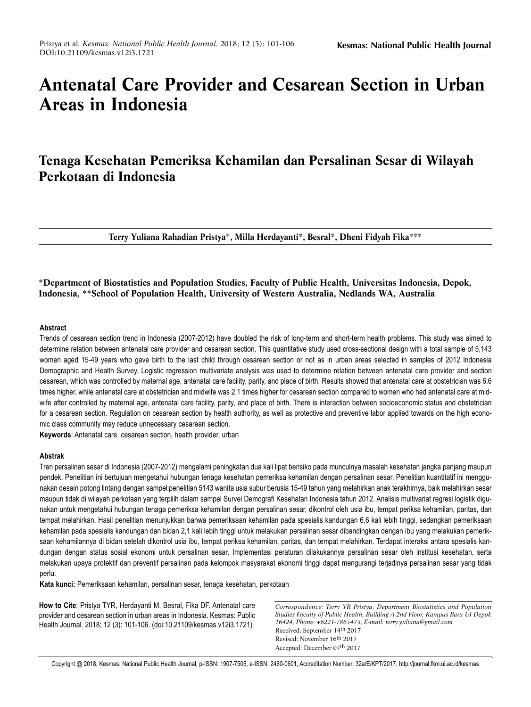# **Antenatal Care Provider and Cesarean Section in Urban Areas in Indonesia**

# **Tenaga Kesehatan Pemeriksa Kehamilan dan Persalinan Sesar di Wilayah Perkotaan di Indonesia**

**Terry Yuliana Rahadian Pristya\*, Milla Herdayanti\*, Besral\*, Dheni Fidyah Fika\*\*\***

**\*Department of Biostatistics and Population Studies, Faculty of Public Health, Universitas Indonesia, Depok, Indonesia, \*\*School of Population Health, University of Western Australia, Nedlands WA, Australia** 

### **Abstract**

Trends of cesarean section trend in Indonesia (2007-2012) have doubled the risk of long-term and short-term health problems. This study was aimed to determine relation between antenatal care provider and cesarean section. This quantitative study used cross-sectional design with a total sample of 5,143 women aged 15-49 years who gave birth to the last child through cesarean section or not as in urban areas selected in samples of 2012 Indonesia Demographic and Health Survey. Logistic regression multivariate analysis was used to determine relation between antenatal care provider and section cesarean, which was controlled by maternal age, antenatal care facility, parity, and place of birth. Results showed that antenatal care at obstetrician was 6.6 times higher, while antenatal care at obstetrician and midwife was 2.1 times higher for cesarean section compared to women who had antenatal care at midwife after controlled by maternal age, antenatal care facility, parity, and place of birth. There is interaction between socioeconomic status and obstetrician for a cesarean section. Regulation on cesarean section by health authority, as well as protective and preventive labor applied towards on the high economic class community may reduce unnecessary cesarean section.

**Keywords**: Antenatal care, cesarean section, health provider, urban

# **Abstrak**

Tren persalinan sesar di Indonesia (2007-2012) mengalami peningkatan dua kali lipat berisiko pada munculnya masalah kesehatan jangka panjang maupun pendek. Penelitian ini bertujuan mengetahui hubungan tenaga kesehatan pemeriksa kehamilan dengan persalinan sesar. Penelitian kuantitatif ini menggunakan desain potong lintang dengan sampel penelitian 5143 wanita usia subur berusia 15-49 tahun yang melahirkan anak terakhirnya, baik melahirkan sesar maupun tidak di wilayah perkotaan yang terpilih dalam sampel Survei Demografi Kesehatan Indonesia tahun 2012. Analisis multivariat regresi logistik digunakan untuk mengetahui hubungan tenaga pemeriksa kehamilan dengan persalinan sesar, dikontrol oleh usia ibu, tempat periksa kehamilan, paritas, dan tempat melahirkan. Hasil penelitian menunjukkan bahwa pemeriksaan kehamilan pada spesialis kandungan 6,6 kali lebih tinggi, sedangkan pemeriksaan kehamilan pada spesialis kandungan dan bidan 2,1 kali lebih tinggi untuk melakukan persalinan sesar dibandingkan dengan ibu yang melakukan pemeriksaan kehamilannya di bidan setelah dikontrol usia ibu, tempat periksa kehamilan, paritas, dan tempat melahirkan. Terdapat interaksi antara spesialis kandungan dengan status sosial ekonomi untuk persalinan sesar. Implementasi peraturan dilakukannya persalinan sesar oleh institusi kesehatan, serta melakukan upaya protektif dan preventif persalinan pada kelompok masyarakat ekonomi tinggi dapat mengurangi terjadinya persalinan sesar yang tidak perlu.

**Kata kunci:** Pemeriksaan kehamilan, persalinan sesar, tenaga kesehatan, perkotaan

**How to Cite**: Pristya TYR, Herdayanti M, Besral, Fika DF. Antenatal care provider and cesarean section in urban areas in Indonesia. Kesmas: Public Health Journal. 2018; 12 (3): 101-106. (doi:10.21109/kesmas.v12i3.1721)

*Correspondence: Terry YR Pristya, Department Biostatistics and Population Studies Faculty of Public Health, Building A 2nd Floor, Kampus Baru UI Depok 16424, Phone: +6221-7863473, E-mail: terry.yuliana@gmail.com* Received: September 14th 2017 Revised: November 16th 2017 Accepted: December 07th 2017

Copyright @ 2018, Kesmas: National Public Health Journal, p-ISSN: 1907-7505, e-ISSN: 2460-0601, Accreditation Number: 32a/E/KPT/2017, http://journal.fkm.ui.ac.id/kesmas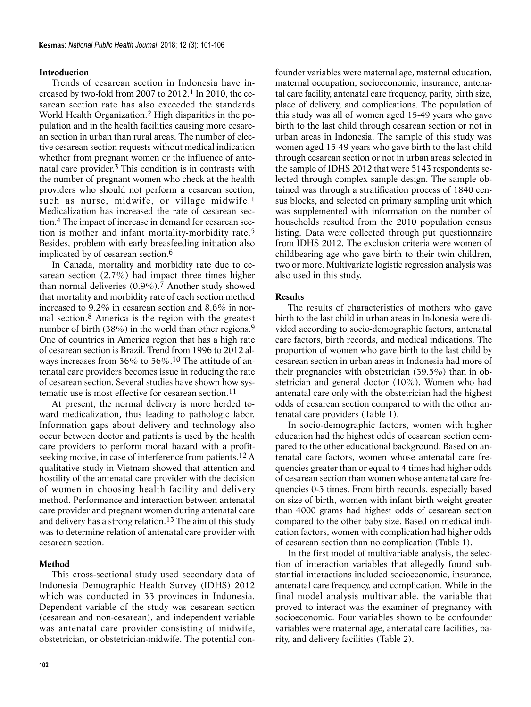# **Introduction**

Trends of cesarean section in Indonesia have increased by two-fold from 2007 to  $2012$ .<sup>1</sup> In 2010, the cesarean section rate has also exceeded the standards World Health Organization.2 High disparities in the population and in the health facilities causing more cesarean section in urban than rural areas. The number of elective cesarean section requests without medical indication whether from pregnant women or the influence of antenatal care provider.3 This condition is in contrasts with the number of pregnant women who check at the health providers who should not perform a cesarean section, such as nurse, midwife, or village midwife.<sup>1</sup> Medicalization has increased the rate of cesarean section.4 The impact of increase in demand for cesarean section is mother and infant mortality-morbidity rate.5 Besides, problem with early breasfeeding initiation also implicated by of cesarean section.6

In Canada, mortality and morbidity rate due to cesarean section (2.7%) had impact three times higher than normal deliveries  $(0.9\%)$ .<sup>7</sup> Another study showed that mortality and morbidity rate of each section method increased to 9.2% in cesarean section and 8.6% in normal section.8 America is the region with the greatest number of birth (38%) in the world than other regions.<sup>9</sup> One of countries in America region that has a high rate of cesarean section is Brazil. Trend from 1996 to 2012 always increases from 36% to 56%.10 The attitude of antenatal care providers becomes issue in reducing the rate of cesarean section. Several studies have shown how systematic use is most effective for cesarean section.11

At present, the normal delivery is more herded toward medicalization, thus leading to pathologic labor. Information gaps about delivery and technology also occur between doctor and patients is used by the health care providers to perform moral hazard with a profitseeking motive, in case of interference from patients.12 A qualitative study in Vietnam showed that attention and hostility of the antenatal care provider with the decision of women in choosing health facility and delivery method. Performance and interaction between antenatal care provider and pregnant women during antenatal care and delivery has a strong relation.13 The aim of this study was to determine relation of antenatal care provider with cesarean section.

# **Method**

This cross-sectional study used secondary data of Indonesia Demographic Health Survey (IDHS) 2012 which was conducted in 33 provinces in Indonesia. Dependent variable of the study was cesarean section (cesarean and non-cesarean), and independent variable was antenatal care provider consisting of midwife, obstetrician, or obstetrician-midwife. The potential con-

founder variables were maternal age, maternal education, maternal occupation, socioeconomic, insurance, antenatal care facility, antenatal care frequency, parity, birth size, place of delivery, and complications. The population of this study was all of women aged 15-49 years who gave birth to the last child through cesarean section or not in urban areas in Indonesia. The sample of this study was women aged 15-49 years who gave birth to the last child through cesarean section or not in urban areas selected in the sample of IDHS 2012 that were 5143 respondents selected through complex sample design. The sample obtained was through a stratification process of 1840 census blocks, and selected on primary sampling unit which was supplemented with information on the number of households resulted from the 2010 population census listing. Data were collected through put questionnaire from IDHS 2012. The exclusion criteria were women of childbearing age who gave birth to their twin children, two or more. Multivariate logistic regression analysis was also used in this study.

### **Results**

The results of characteristics of mothers who gave birth to the last child in urban areas in Indonesia were divided according to socio-demographic factors, antenatal care factors, birth records, and medical indications. The proportion of women who gave birth to the last child by cesarean section in urban areas in Indonesia had more of their pregnancies with obstetrician (39.5%) than in obstetrician and general doctor (10%). Women who had antenatal care only with the obstetrician had the highest odds of cesarean section compared to with the other antenatal care providers (Table 1).

In socio-demographic factors, women with higher education had the highest odds of cesarean section compared to the other educational background. Based on antenatal care factors, women whose antenatal care frequencies greater than or equal to 4 times had higher odds of cesarean section than women whose antenatal care frequencies 0-3 times. From birth records, especially based on size of birth, women with infant birth weight greater than 4000 grams had highest odds of cesarean section compared to the other baby size. Based on medical indication factors, women with complication had higher odds of cesarean section than no complication (Table 1).

In the first model of multivariable analysis, the selection of interaction variables that allegedly found substantial interactions included socioeconomic, insurance, antenatal care frequency, and complication. While in the final model analysis multivariable, the variable that proved to interact was the examiner of pregnancy with socioeconomic. Four variables shown to be confounder variables were maternal age, antenatal care facilities, parity, and delivery facilities (Table 2).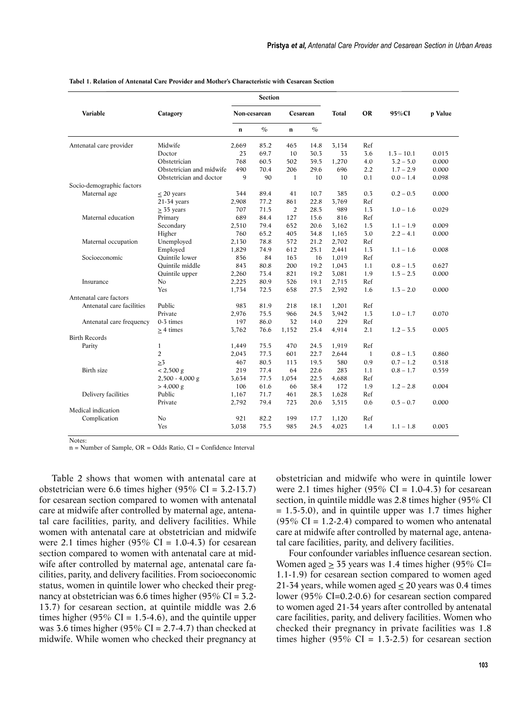|                           | Catagory                 | Section      |               |                |               |       |                |              |         |
|---------------------------|--------------------------|--------------|---------------|----------------|---------------|-------|----------------|--------------|---------|
| Variable                  |                          | Non-cesarean |               | Cesarean       |               | Total | <b>OR</b>      | 95%CI        | p Value |
|                           |                          | n            | $\frac{1}{2}$ | $\mathbf n$    | $\frac{0}{0}$ |       |                |              |         |
| Antenatal care provider   | Midwife                  | 2,669        | 85.2          | 465            | 14.8          | 3.134 | Ref            |              |         |
|                           | Doctor                   | 23           | 69.7          | 10             | 30.3          | 33    | 3.6            | $1.3 - 10.1$ | 0.015   |
|                           | Obstetrician             | 768          | 60.5          | 502            | 39.5          | 1.270 | 4.0            | $3.2 - 5.0$  | 0.000   |
|                           | Obstetrician and midwife | 490          | 70.4          | 206            | 29.6          | 696   | 2.2            | $1.7 - 2.9$  | 0.000   |
|                           | Obstetrician and doctor  | 9            | 90            | $\mathbf{1}$   | 10            | 10    | 0.1            | $0.0 - 1.4$  | 0.098   |
| Socio-demographic factors |                          |              |               |                |               |       |                |              |         |
| Maternal age              | $\leq$ 20 years          | 344          | 89.4          | 41             | 10.7          | 385   | 0.3            | $0.2 - 0.5$  | 0.000   |
|                           | $21-34$ years            | 2,908        | 77.2          | 861            | 22.8          | 3,769 | Ref            |              |         |
|                           | $\geq$ 35 years          | 707          | 71.5          | $\overline{2}$ | 28.5          | 989   | 1.3            | $1.0 - 1.6$  | 0.029   |
| Maternal education        | Primary                  | 689          | 84.4          | 127            | 15.6          | 816   | Ref            |              |         |
|                           | Secondary                | 2.510        | 79.4          | 652            | 20.6          | 3.162 | 1.5            | $1.1 - 1.9$  | 0.009   |
|                           | Higher                   | 760          | 65.2          | 405            | 34.8          | 1,165 | 3.0            | $2.2 - 4.1$  | 0.000   |
| Maternal occupation       | Unemployed               | 2,130        | 78.8          | 572            | 21.2          | 2,702 | Ref            |              |         |
|                           | Employed                 | 1,829        | 74.9          | 612            | 25.1          | 2,441 | 1.3            | $1.1 - 1.6$  | 0.008   |
| Socioeconomic             | <b>Ouintile</b> lower    | 856          | 84            | 163            | 16            | 1,019 | Ref            |              |         |
|                           | <b>Ouintile</b> middle   | 843          | 80.8          | 200            | 19.2          | 1,043 | 1.1            | $0.8 - 1.5$  | 0.627   |
|                           | Quintile upper           | 2,260        | 73.4          | 821            | 19.2          | 3,081 | 1.9            | $1.5 - 2.5$  | 0.000   |
| Insurance                 | No                       | 2,225        | 80.9          | 526            | 19.1          | 2,715 | Ref            |              |         |
|                           | Yes                      | 1,734        | 72.5          | 658            | 27.5          | 2,392 | 1.6            | $1.3 - 2.0$  | 0.000   |
| Antenatal care factors    |                          |              |               |                |               |       |                |              |         |
| Antenatal care facilities | Public                   | 983          | 81.9          | 218            | 18.1          | 1,201 | Ref            |              |         |
|                           | Private                  | 2,976        | 75.5          | 966            | 24.5          | 3,942 | 1.3            | $1.0 - 1.7$  | 0.070   |
| Antenatal care frequency  | $0-5$ times              | 197          | 86.0          | 32             | 14.0          | 229   | Ref            |              |         |
|                           | > 4 times                | 3,762        | 76.6          | 1,152          | 23.4          | 4,914 | 2.1            | $1.2 - 3.5$  | 0.005   |
| <b>Birth Records</b>      |                          |              |               |                |               |       |                |              |         |
| Parity                    | $\mathbf{1}$             | 1,449        | 75.5          | 470            | 24.5          | 1,919 | Ref            |              |         |
|                           | $\overline{2}$           | 2,043        | 77.3          | 601            | 22.7          | 2,644 | $\overline{1}$ | $0.8 - 1.3$  | 0.860   |
|                           | >3                       | 467          | 80.5          | 113            | 19.5          | 580   | 0.9            | $0.7 - 1.2$  | 0.518   |
| Birth size                | $< 2,500 \text{ g}$      | 219          | 77.4          | 64             | 22.6          | 283   | 1.1            | $0.8 - 1.7$  | 0.559   |
|                           | $2,500 - 4,000$ g        | 3,634        | 77.5          | 1.054          | 22.5          | 4,688 | Ref            |              |         |
|                           | $> 4,000$ g              | 106          | 61.6          | 66             | 38.4          | 172   | 1.9            | $1.2 - 2.8$  | 0.004   |
| Delivery facilities       | Public                   | 1,167        | 71.7          | 461            | 28.3          | 1,628 | Ref            |              |         |
|                           | Private                  | 2,792        | 79.4          | 723            | 20.6          | 3,515 | 0.6            | $0.5 - 0.7$  | 0.000   |
| Medical indication        |                          |              |               |                |               |       |                |              |         |
| Complication              | N <sub>0</sub>           | 921          | 82.2          | 199            | 17.7          | 1.120 | Ref            |              |         |
|                           | Yes                      | 3,038        | 75.5          | 985            | 24.5          | 4,023 | 1.4            | $1.1 - 1.8$  | 0.003   |
|                           |                          |              |               |                |               |       |                |              |         |

#### **Tabel 1. Relation of Antenatal Care Provider and Mother's Characteristic with Cesarean Section**

Notes:

n = Number of Sample, OR = Odds Ratio, CI = Confidence Interval

Table 2 shows that women with antenatal care at obstetrician were 6.6 times higher (95% CI =  $3.2-13.7$ ) for cesarean section compared to women with antenatal care at midwife after controlled by maternal age, antenatal care facilities, parity, and delivery facilities. While women with antenatal care at obstetrician and midwife were 2.1 times higher (95% CI = 1.0-4.3) for cesarean section compared to women with antenatal care at midwife after controlled by maternal age, antenatal care facilities, parity, and delivery facilities. From socioeconomic status, women in quintile lower who checked their pregnancy at obstetrician was 6.6 times higher (95% CI = 3.2- 13.7) for cesarean section, at quintile middle was 2.6 times higher (95% CI = 1.5-4.6), and the quintile upper was 3.6 times higher (95% CI =  $2.7-4.7$ ) than checked at midwife. While women who checked their pregnancy at obstetrician and midwife who were in quintile lower were 2.1 times higher (95% CI = 1.0-4.3) for cesarean section, in quintile middle was 2.8 times higher (95% CI  $= 1.5-5.0$ , and in quintile upper was 1.7 times higher  $(95\% \text{ CI} = 1.2-2.4)$  compared to women who antenatal care at midwife after controlled by maternal age, antenatal care facilities, parity, and delivery facilities.

Four confounder variables influence cesarean section. Women aged  $\geq$  35 years was 1.4 times higher (95% CI= 1.1-1.9) for cesarean section compared to women aged 21-34 years, while women aged  $\leq$  20 years was 0.4 times lower (95% CI=0.2-0.6) for cesarean section compared to women aged 21-34 years after controlled by antenatal care facilities, parity, and delivery facilities. Women who checked their pregnancy in private facilities was 1.8 times higher (95% CI =  $1.3{\text -}2.5$ ) for cesarean section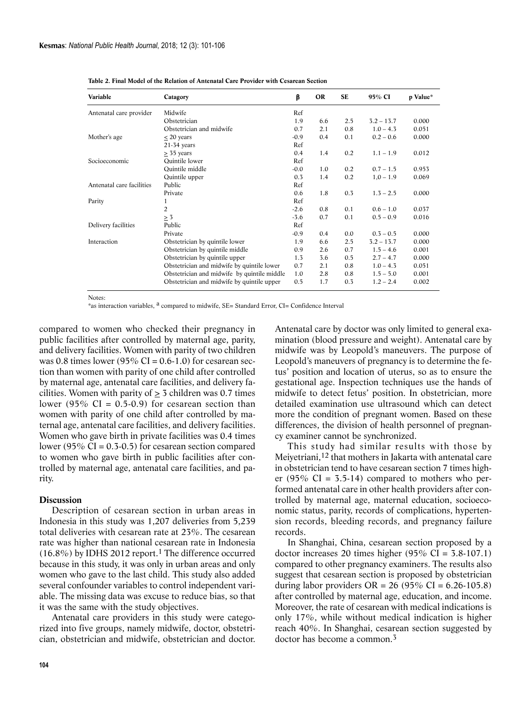| Variable                  | Catagory                                    | β      | OR  | <b>SE</b> | 95% CI       | p Value* |
|---------------------------|---------------------------------------------|--------|-----|-----------|--------------|----------|
| Antenatal care provider   | Midwife                                     | Ref    |     |           |              |          |
|                           | Obstetrician                                | 1.9    | 6.6 | 2.5       | $3.2 - 13.7$ | 0.000    |
|                           | Obstetrician and midwife                    | 0.7    | 2.1 | 0.8       | $1.0 - 4.3$  | 0.051    |
| Mother's age              | $\leq$ 20 years                             | $-0.9$ | 0.4 | 0.1       | $0.2 - 0.6$  | 0.000    |
|                           | $21-34$ years                               | Ref    |     |           |              |          |
|                           | $\geq$ 35 years                             | 0.4    | 1.4 | 0.2       | $1.1 - 1.9$  | 0.012    |
| Socioeconomic             | <b>Ouintile</b> lower                       | Ref    |     |           |              |          |
|                           | Quintile middle                             | $-0.0$ | 1.0 | 0.2       | $0.7 - 1.5$  | 0.953    |
|                           | Quintile upper                              | 0.3    | 1.4 | 0.2       | $1,0 - 1.9$  | 0.069    |
| Antenatal care facilities | Public                                      | Ref    |     |           |              |          |
|                           | Private                                     | 0.6    | 1.8 | 0.3       | $1.3 - 2.5$  | 0.000    |
| Parity                    | 1                                           | Ref    |     |           |              |          |
|                           | $\overline{2}$                              | $-2.6$ | 0.8 | 0.1       | $0.6 - 1.0$  | 0.037    |
|                           | > 3                                         | $-3.6$ | 0.7 | 0.1       | $0.5 - 0.9$  | 0.016    |
| Delivery facilities       | Public                                      | Ref    |     |           |              |          |
|                           | Private                                     | $-0.9$ | 0.4 | 0.0       | $0.3 - 0.5$  | 0.000    |
| Interaction               | Obstetrician by quintile lower              | 1.9    | 6.6 | 2.5       | $3.2 - 13.7$ | 0.000    |
|                           | Obstetrician by quintile middle             | 0.9    | 2.6 | 0.7       | $1.5 - 4.6$  | 0.001    |
|                           | Obstetrician by quintile upper              | 1.3    | 3.6 | 0.5       | $2.7 - 4.7$  | 0.000    |
|                           | Obstetrician and midwife by quintile lower  | 0.7    | 2.1 | 0.8       | $1.0 - 4.3$  | 0.051    |
|                           | Obstetrician and midwife by quintile middle | 1.0    | 2.8 | 0.8       | $1.5 - 5.0$  | 0.001    |
|                           | Obstetrician and midwife by quintile upper  | 0.5    | 1.7 | 0.3       | $1.2 - 2.4$  | 0.002    |

**Table 2. Final Model of the Relation of Antenatal Care Provider with Cesarean Section**

Notes:

\*as interaction variables, a compared to midwife, SE= Standard Error, CI= Confidence Interval

compared to women who checked their pregnancy in public facilities after controlled by maternal age, parity, and delivery facilities. Women with parity of two children was 0.8 times lower (95% CI =  $0.6-1.0$ ) for cesarean section than women with parity of one child after controlled by maternal age, antenatal care facilities, and delivery facilities. Women with parity of  $\geq$  3 children was 0.7 times lower (95% CI =  $0.5-0.9$ ) for cesarean section than women with parity of one child after controlled by maternal age, antenatal care facilities, and delivery facilities. Women who gave birth in private facilities was 0.4 times lower (95% CI =  $0.3$ - $0.5$ ) for cesarean section compared to women who gave birth in public facilities after controlled by maternal age, antenatal care facilities, and parity.

#### **Discussion**

Description of cesarean section in urban areas in Indonesia in this study was 1,207 deliveries from 5,239 total deliveries with cesarean rate at 23%. The cesarean rate was higher than national cesarean rate in Indonesia  $(16.8\%)$  by IDHS 2012 report.<sup>1</sup> The difference occurred because in this study, it was only in urban areas and only women who gave to the last child. This study also added several confounder variables to control independent variable. The missing data was excuse to reduce bias, so that it was the same with the study objectives.

Antenatal care providers in this study were categorized into five groups, namely midwife, doctor, obstetrician, obstetrician and midwife, obstetrician and doctor. Antenatal care by doctor was only limited to general examination (blood pressure and weight). Antenatal care by midwife was by Leopold's maneuvers. The purpose of Leopold's maneuvers of pregnancy is to determine the fetus' position and location of uterus, so as to ensure the gestational age. Inspection techniques use the hands of midwife to detect fetus' position. In obstetrician, more detailed examination use ultrasound which can detect more the condition of pregnant women. Based on these differences, the division of health personnel of pregnancy examiner cannot be synchronized.

This study had similar results with those by Meiyetriani,12 that mothers in Jakarta with antenatal care in obstetrician tend to have cesarean section 7 times higher (95% CI =  $3.5-14$ ) compared to mothers who performed antenatal care in other health providers after controlled by maternal age, maternal education, socioeconomic status, parity, records of complications, hypertension records, bleeding records, and pregnancy failure records.

In Shanghai, China, cesarean section proposed by a doctor increases 20 times higher (95% CI =  $3.8-107.1$ ) compared to other pregnancy examiners. The results also suggest that cesarean section is proposed by obstetrician during labor providers  $OR = 26 (95\% CI = 6.26-105.8)$ after controlled by maternal age, education, and income. Moreover, the rate of cesarean with medical indications is only 17%, while without medical indication is higher reach 40%. In Shanghai, cesarean section suggested by doctor has become a common.3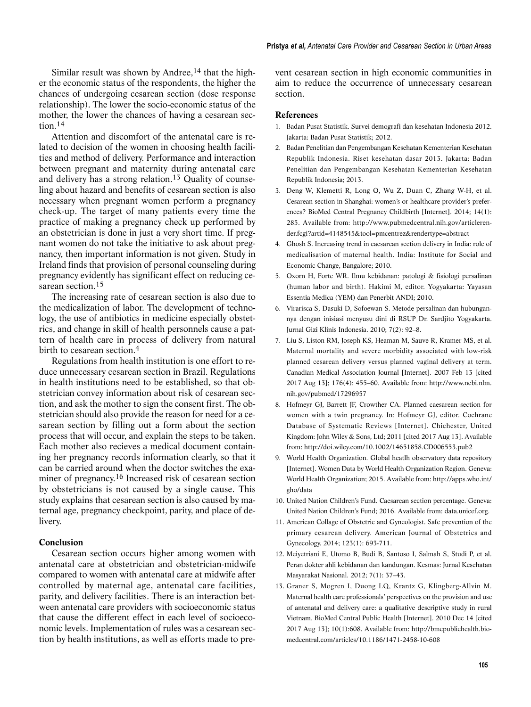Similar result was shown by Andree,<sup>14</sup> that the higher the economic status of the respondents, the higher the chances of undergoing cesarean section (dose response relationship). The lower the socio-economic status of the mother, the lower the chances of having a cesarean section.14

Attention and discomfort of the antenatal care is related to decision of the women in choosing health facilities and method of delivery. Performance and interaction between pregnant and maternity during antenatal care and delivery has a strong relation.13 Quality of counseling about hazard and benefits of cesarean section is also necessary when pregnant women perform a pregnancy check-up. The target of many patients every time the practice of making a pregnancy check up performed by an obstetrician is done in just a very short time. If pregnant women do not take the initiative to ask about pregnancy, then important information is not given. Study in Ireland finds that provision of personal counseling during pregnancy evidently has significant effect on reducing cesarean section.<sup>15</sup>

The increasing rate of cesarean section is also due to the medicalization of labor. The development of technology, the use of antibiotics in medicine especially obstetrics, and change in skill of health personnels cause a pattern of health care in process of delivery from natural birth to cesarean section.4

Regulations from health institution is one effort to reduce unnecessary cesarean section in Brazil. Regulations in health institutions need to be established, so that obstetrician convey information about risk of cesarean section, and ask the mother to sign the consent first. The obstetrician should also provide the reason for need for a cesarean section by filling out a form about the section process that will occur, and explain the steps to be taken. Each mother also recieves a medical document containing her pregnancy records information clearly, so that it can be carried around when the doctor switches the examiner of pregnancy.16 Increased risk of cesarean section by obstetricians is not caused by a single cause. This study explains that cesarean section is also caused by maternal age, pregnancy checkpoint, parity, and place of delivery.

#### **Conclusion**

Cesarean section occurs higher among women with antenatal care at obstetrician and obstetrician-midwife compared to women with antenatal care at midwife after controlled by maternal age, antenatal care facilities, parity, and delivery facilities. There is an interaction between antenatal care providers with socioeconomic status that cause the different effect in each level of socioeconomic levels. Implementation of rules was a cesarean section by health institutions, as well as efforts made to prevent cesarean section in high economic communities in aim to reduce the occurrence of unnecessary cesarean section.

#### **References**

- 1. Badan Pusat Statistik. Survei demografi dan kesehatan Indonesia 2012. Jakarta: Badan Pusat Statistik; 2012.
- 2. Badan Penelitian dan Pengembangan Kesehatan Kementerian Kesehatan Republik Indonesia. Riset kesehatan dasar 2013. Jakarta: Badan Penelitian dan Pengembangan Kesehatan Kementerian Kesehatan Republik Indonesia; 2013.
- 3. Deng W, Klemetti R, Long Q, Wu Z, Duan C, Zhang W-H, et al. Cesarean section in Shanghai: women's or healthcare provider's preferences? BioMed Central Pregnancy Childbirth [Internet]. 2014; 14(1): 285. Available from: http://www.pubmedcentral.nih.gov/articlerender.fcgi?artid=4148545&tool=pmcentrez&rendertype=abstract
- 4. Ghosh S. Increasing trend in caesarean section delivery in India: role of medicalisation of maternal health. India: Institute for Social and Economic Change, Bangalore; 2010.
- 5. Oxorn H, Forte WR. Ilmu kebidanan: patologi & fisiologi persalinan (human labor and birth). Hakimi M, editor. Yogyakarta: Yayasan Essentia Medica (YEM) dan Penerbit ANDI; 2010.
- 6. Virarisca S, Dasuki D, Sofoewan S. Metode persalinan dan hubungannya dengan inisiasi menyusu dini di RSUP Dr. Sardjito Yogyakarta. Jurnal Gizi Klinis Indonesia. 2010; 7(2): 92–8.
- 7. Liu S, Liston RM, Joseph KS, Heaman M, Sauve R, Kramer MS, et al. Maternal mortality and severe morbidity associated with low-risk planned cesarean delivery versus planned vaginal delivery at term. Canadian Medical Association Journal [Internet]. 2007 Feb 13 [cited 2017 Aug 13]; 176(4): 455–60. Available from: http://www.ncbi.nlm. nih.gov/pubmed/17296957
- 8. Hofmeyr GJ, Barrett JF, Crowther CA. Planned caesarean section for women with a twin pregnancy. In: Hofmeyr GJ, editor. Cochrane Database of Systematic Reviews [Internet]. Chichester, United Kingdom: John Wiley & Sons, Ltd; 2011 [cited 2017 Aug 13]. Available from: http://doi.wiley.com/10.1002/14651858.CD006553.pub2
- 9. World Health Organization. Global heatlh observatory data repository [Internet]. Women Data by World Health Organization Region. Geneva: World Health Organization; 2015. Available from: http://apps.who.int/ gho/data
- 10. United Nation Children's Fund. Caesarean section percentage. Geneva: United Nation Children's Fund; 2016. Available from: data.unicef.org.
- 11. American Collage of Obstetric and Gyneologist. Safe prevention of the primary cesarean delivery. American Journal of Obstetrics and Gynecology. 2014; 123(1): 693-711.
- 12. Meiyetriani E, Utomo B, Budi B, Santoso I, Salmah S, Studi P, et al. Peran dokter ahli kebidanan dan kandungan. Kesmas: Jurnal Kesehatan Masyarakat Nasional. 2012; 7(1): 37–43.
- 13. Graner S, Mogren I, Duong LQ, Krantz G, Klingberg-Allvin M. Maternal health care professionals' perspectives on the provision and use of antenatal and delivery care: a qualitative descriptive study in rural Vietnam. BioMed Central Public Health [Internet]. 2010 Dec 14 [cited 2017 Aug 13]; 10(1):608. Available from: http://bmcpublichealth.biomedcentral.com/articles/10.1186/1471-2458-10-608